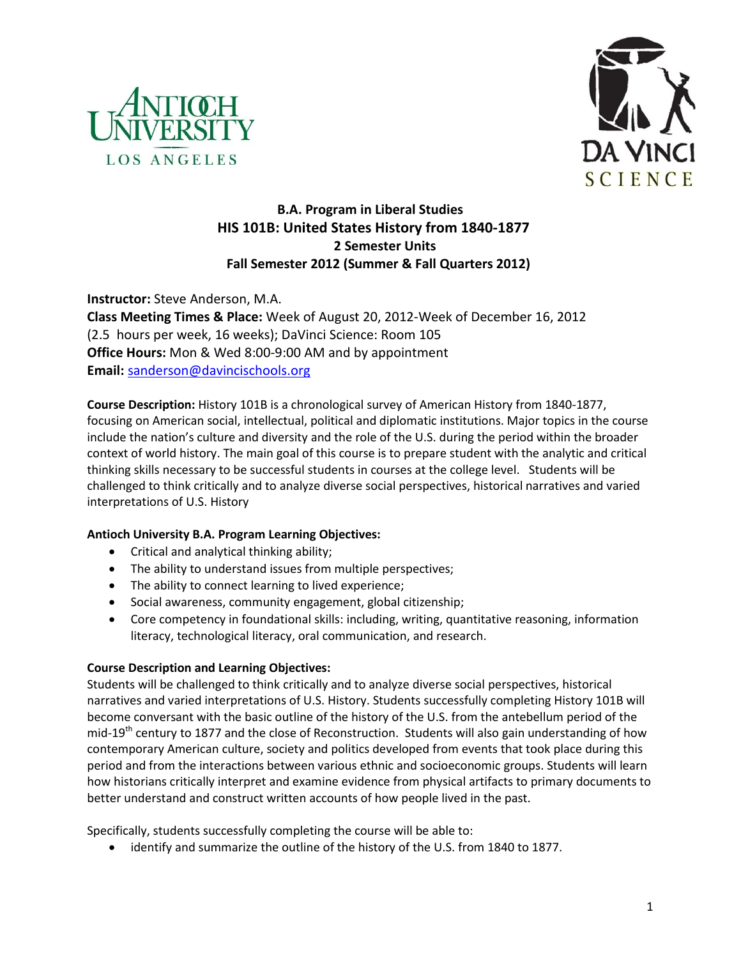



# **B.A. Program in Liberal Studies HIS 101B: United States History from 1840-1877 2 Semester Units Fall Semester 2012 (Summer & Fall Quarters 2012)**

**Instructor:** Steve Anderson, M.A. **Class Meeting Times & Place:** Week of August 20, 2012-Week of December 16, 2012 (2.5 hours per week, 16 weeks); DaVinci Science: Room 105 **Office Hours:** Mon & Wed 8:00-9:00 AM and by appointment **Email:** [sanderson@davincischools.org](mailto:sanderson@davincischools.org)

**Course Description:** History 101B is a chronological survey of American History from 1840-1877, focusing on American social, intellectual, political and diplomatic institutions. Major topics in the course include the nation's culture and diversity and the role of the U.S. during the period within the broader context of world history. The main goal of this course is to prepare student with the analytic and critical thinking skills necessary to be successful students in courses at the college level. Students will be challenged to think critically and to analyze diverse social perspectives, historical narratives and varied interpretations of U.S. History

# **Antioch University B.A. Program Learning Objectives:**

- Critical and analytical thinking ability;
- The ability to understand issues from multiple perspectives;
- The ability to connect learning to lived experience;
- Social awareness, community engagement, global citizenship;
- Core competency in foundational skills: including, writing, quantitative reasoning, information literacy, technological literacy, oral communication, and research.

#### **Course Description and Learning Objectives:**

Students will be challenged to think critically and to analyze diverse social perspectives, historical narratives and varied interpretations of U.S. History. Students successfully completing History 101B will become conversant with the basic outline of the history of the U.S. from the antebellum period of the mid-19<sup>th</sup> century to 1877 and the close of Reconstruction. Students will also gain understanding of how contemporary American culture, society and politics developed from events that took place during this period and from the interactions between various ethnic and socioeconomic groups. Students will learn how historians critically interpret and examine evidence from physical artifacts to primary documents to better understand and construct written accounts of how people lived in the past.

Specifically, students successfully completing the course will be able to:

• identify and summarize the outline of the history of the U.S. from 1840 to 1877.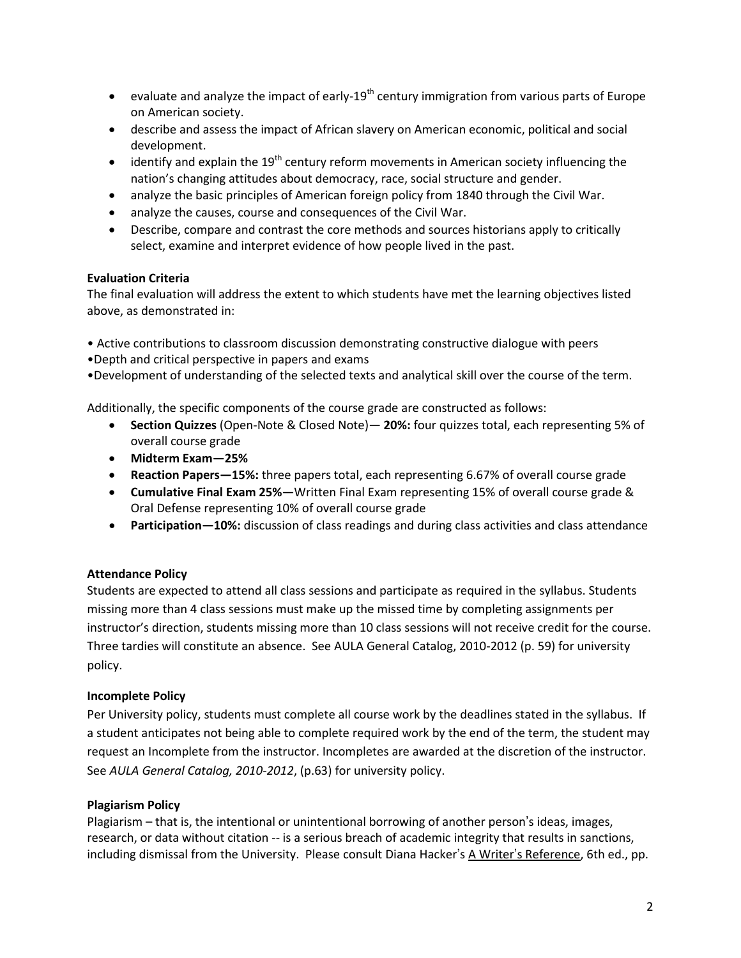- evaluate and analyze the impact of early-19<sup>th</sup> century immigration from various parts of Europe on American society.
- describe and assess the impact of African slavery on American economic, political and social development.
- identify and explain the 19<sup>th</sup> century reform movements in American society influencing the nation's changing attitudes about democracy, race, social structure and gender.
- analyze the basic principles of American foreign policy from 1840 through the Civil War.
- analyze the causes, course and consequences of the Civil War.
- Describe, compare and contrast the core methods and sources historians apply to critically select, examine and interpret evidence of how people lived in the past.

# **Evaluation Criteria**

The final evaluation will address the extent to which students have met the learning objectives listed above, as demonstrated in:

- Active contributions to classroom discussion demonstrating constructive dialogue with peers
- •Depth and critical perspective in papers and exams
- •Development of understanding of the selected texts and analytical skill over the course of the term.

Additionally, the specific components of the course grade are constructed as follows:

- **Section Quizzes** (Open-Note & Closed Note)— **20%:** four quizzes total, each representing 5% of overall course grade
- **Midterm Exam—25%**
- **Reaction Papers—15%:** three papers total, each representing 6.67% of overall course grade
- **Cumulative Final Exam 25%—**Written Final Exam representing 15% of overall course grade & Oral Defense representing 10% of overall course grade
- **Participation—10%:** discussion of class readings and during class activities and class attendance

# **Attendance Policy**

Students are expected to attend all class sessions and participate as required in the syllabus. Students missing more than 4 class sessions must make up the missed time by completing assignments per instructor's direction, students missing more than 10 class sessions will not receive credit for the course. Three tardies will constitute an absence. See AULA General Catalog, 2010-2012 (p. 59) for university policy.

#### **Incomplete Policy**

Per University policy, students must complete all course work by the deadlines stated in the syllabus. If a student anticipates not being able to complete required work by the end of the term, the student may request an Incomplete from the instructor. Incompletes are awarded at the discretion of the instructor. See *AULA General Catalog, 2010-2012*, (p.63) for university policy.

# **Plagiarism Policy**

Plagiarism – that is, the intentional or unintentional borrowing of another person's ideas, images, research, or data without citation -- is a serious breach of academic integrity that results in sanctions, including dismissal from the University. Please consult Diana Hacker's A Writer's Reference, 6th ed., pp.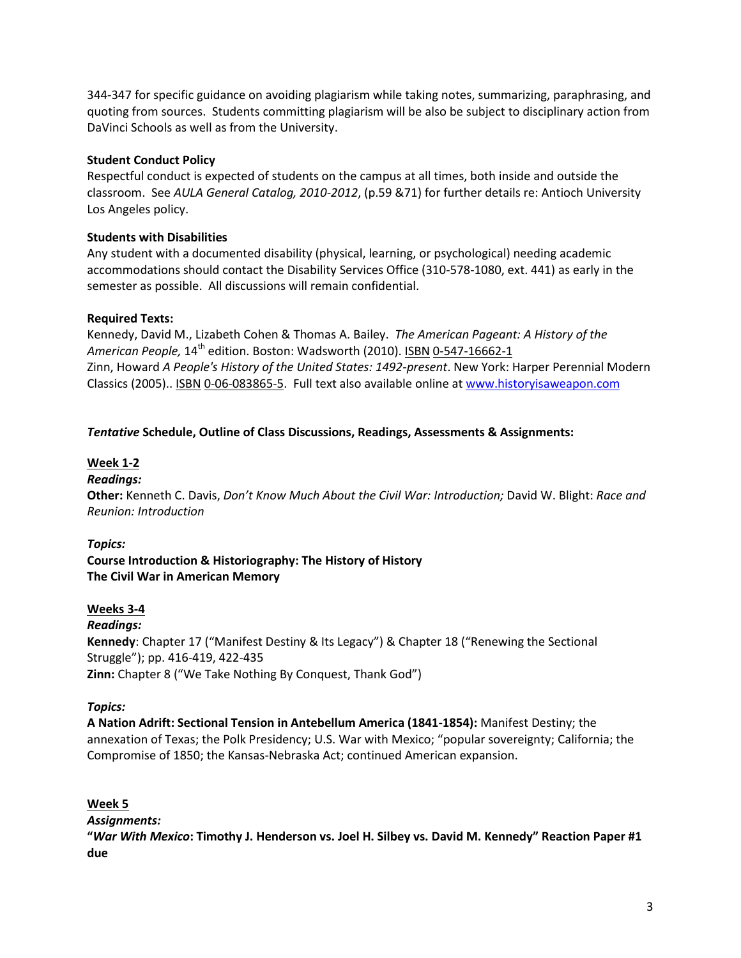344-347 for specific guidance on avoiding plagiarism while taking notes, summarizing, paraphrasing, and quoting from sources. Students committing plagiarism will be also be subject to disciplinary action from DaVinci Schools as well as from the University.

### **Student Conduct Policy**

Respectful conduct is expected of students on the campus at all times, both inside and outside the classroom. See *AULA General Catalog, 2010-2012*, (p.59 &71) for further details re: Antioch University Los Angeles policy.

# **Students with Disabilities**

Any student with a documented disability (physical, learning, or psychological) needing academic accommodations should contact the Disability Services Office (310-578-1080, ext. 441) as early in the semester as possible. All discussions will remain confidential.

# **Required Texts:**

Kennedy, David M., Lizabeth Cohen & Thomas A. Bailey. *The American Pageant: A History of the*  American People, 14<sup>th</sup> edition. Boston: Wadsworth (2010). ISBN 0-547-16662-1 Zinn, Howard *A People's History of the United States: 1492-present*. New York: Harper Perennial Modern Classics (2005).. **ISBN 0-06-083865-5**. Full text also available online at [www.historyisaweapon.com](http://www.historyisaweapon.com/)

# *Tentative* **Schedule, Outline of Class Discussions, Readings, Assessments & Assignments:**

# **Week 1-2**

#### *Readings:*

**Other:** Kenneth C. Davis, *Don't Know Much About the Civil War: Introduction;* David W. Blight: *Race and Reunion: Introduction*

#### *Topics:*

**Course Introduction & Historiography: The History of History The Civil War in American Memory**

#### **Weeks 3-4**

*Readings:* **Kennedy**: Chapter 17 ("Manifest Destiny & Its Legacy") & Chapter 18 ("Renewing the Sectional Struggle"); pp. 416-419, 422-435 **Zinn:** Chapter 8 ("We Take Nothing By Conquest, Thank God")

#### *Topics:*

**A Nation Adrift: Sectional Tension in Antebellum America (1841-1854):** Manifest Destiny; the annexation of Texas; the Polk Presidency; U.S. War with Mexico; "popular sovereignty; California; the Compromise of 1850; the Kansas-Nebraska Act; continued American expansion.

#### **Week 5**

*Assignments:*

**"***War With Mexico***: Timothy J. Henderson vs. Joel H. Silbey vs. David M. Kennedy" Reaction Paper #1 due**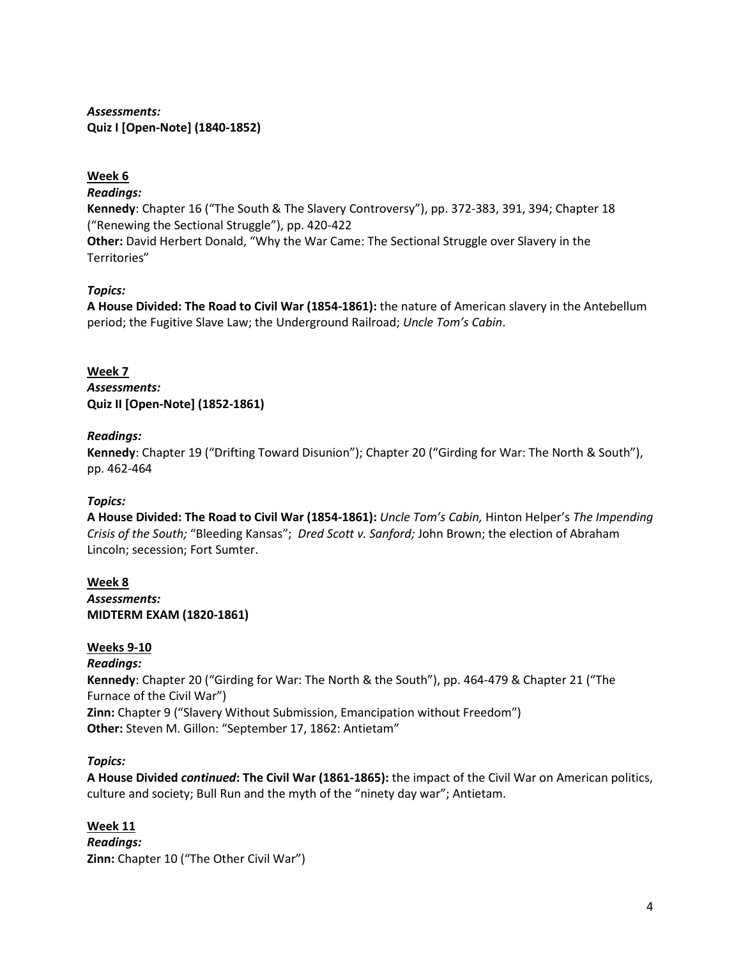*Assessments:* **Quiz I [Open-Note] (1840-1852)**

# **Week 6**

### *Readings:*

**Kennedy**: Chapter 16 ("The South & The Slavery Controversy"), pp. 372-383, 391, 394; Chapter 18 ("Renewing the Sectional Struggle"), pp. 420-422 **Other:** David Herbert Donald, "Why the War Came: The Sectional Struggle over Slavery in the Territories"

# *Topics:*

**A House Divided: The Road to Civil War (1854-1861):** the nature of American slavery in the Antebellum period; the Fugitive Slave Law; the Underground Railroad; *Uncle Tom's Cabin*.

**Week 7** *Assessments:* **Quiz II [Open-Note] (1852-1861)**

# *Readings:*

**Kennedy**: Chapter 19 ("Drifting Toward Disunion"); Chapter 20 ("Girding for War: The North & South"), pp. 462-464

#### *Topics:*

**A House Divided: The Road to Civil War (1854-1861):** *Uncle Tom's Cabin,* Hinton Helper's *The Impending Crisis of the South;* "Bleeding Kansas"; *Dred Scott v. Sanford;* John Brown; the election of Abraham Lincoln; secession; Fort Sumter.

**Week 8** *Assessments:* **MIDTERM EXAM (1820-1861)**

# **Weeks 9-10**

*Readings:* **Kennedy**: Chapter 20 ("Girding for War: The North & the South"), pp. 464-479 & Chapter 21 ("The Furnace of the Civil War") **Zinn:** Chapter 9 ("Slavery Without Submission, Emancipation without Freedom") **Other:** Steven M. Gillon: "September 17, 1862: Antietam"

#### *Topics:*

**A House Divided** *continued***: The Civil War (1861-1865):** the impact of the Civil War on American politics, culture and society; Bull Run and the myth of the "ninety day war"; Antietam.

**Week 11** *Readings:* **Zinn:** Chapter 10 ("The Other Civil War")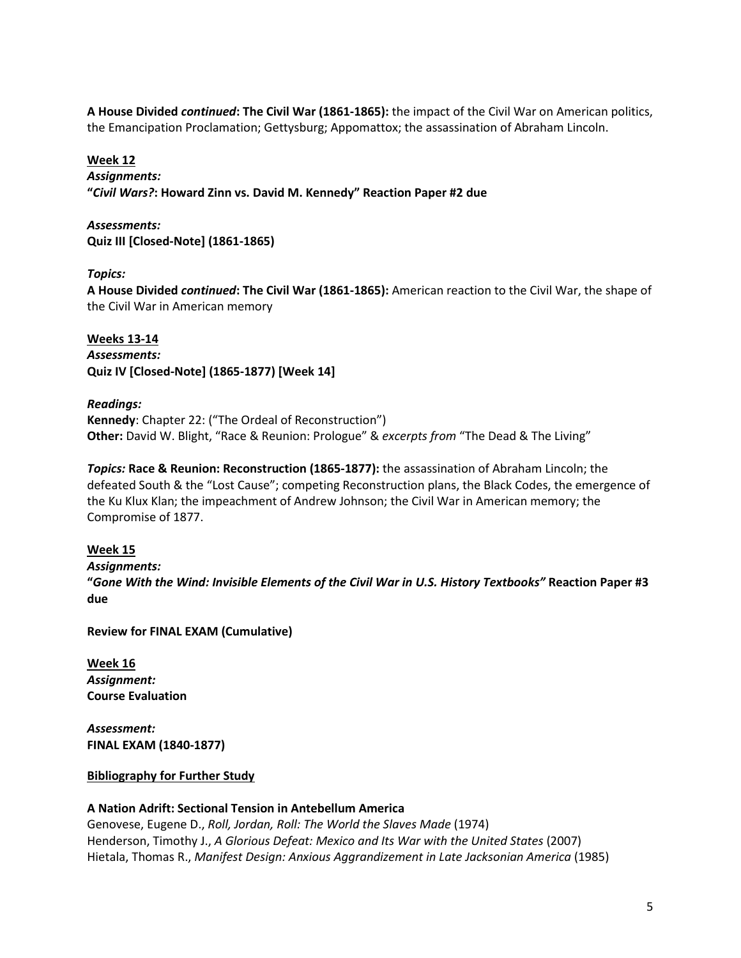**A House Divided** *continued***: The Civil War (1861-1865):** the impact of the Civil War on American politics, the Emancipation Proclamation; Gettysburg; Appomattox; the assassination of Abraham Lincoln.

# **Week 12**

*Assignments:*

**"***Civil Wars?***: Howard Zinn vs. David M. Kennedy" Reaction Paper #2 due**

*Assessments:* **Quiz III [Closed-Note] (1861-1865)**

# *Topics:*

**A House Divided** *continued***: The Civil War (1861-1865):** American reaction to the Civil War, the shape of the Civil War in American memory

**Weeks 13-14** *Assessments:* **Quiz IV [Closed-Note] (1865-1877) [Week 14]**

# *Readings:*

**Kennedy**: Chapter 22: ("The Ordeal of Reconstruction") **Other:** David W. Blight, "Race & Reunion: Prologue" & *excerpts from* "The Dead & The Living"

*Topics:* **Race & Reunion: Reconstruction (1865-1877):** the assassination of Abraham Lincoln; the defeated South & the "Lost Cause"; competing Reconstruction plans, the Black Codes, the emergence of the Ku Klux Klan; the impeachment of Andrew Johnson; the Civil War in American memory; the Compromise of 1877.

#### **Week 15**

*Assignments:* **"***Gone With the Wind: Invisible Elements of the Civil War in U.S. History Textbooks"* **Reaction Paper #3 due**

**Review for FINAL EXAM (Cumulative)**

**Week 16** *Assignment:* **Course Evaluation**

*Assessment:* **FINAL EXAM (1840-1877)**

#### **Bibliography for Further Study**

# **A Nation Adrift: Sectional Tension in Antebellum America**

Genovese, Eugene D., *Roll, Jordan, Roll: The World the Slaves Made* (1974) Henderson, Timothy J., *A Glorious Defeat: Mexico and Its War with the United States* (2007) Hietala, Thomas R., *Manifest Design: Anxious Aggrandizement in Late Jacksonian America* (1985)